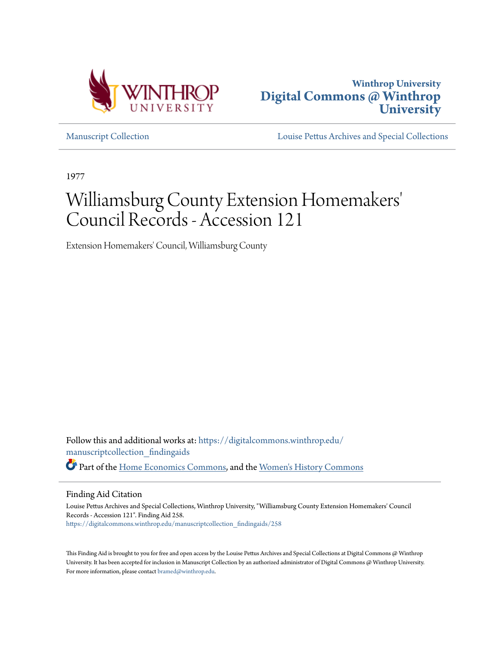



[Manuscript Collection](https://digitalcommons.winthrop.edu/manuscriptcollection_findingaids?utm_source=digitalcommons.winthrop.edu%2Fmanuscriptcollection_findingaids%2F258&utm_medium=PDF&utm_campaign=PDFCoverPages) [Louise Pettus Archives and Special Collections](https://digitalcommons.winthrop.edu/pettus_archives?utm_source=digitalcommons.winthrop.edu%2Fmanuscriptcollection_findingaids%2F258&utm_medium=PDF&utm_campaign=PDFCoverPages)

1977

# Williamsburg County Extension Homemakers 'Council Records - Accession 121

Extension Homemakers' Council, Williamsburg County

Follow this and additional works at: [https://digitalcommons.winthrop.edu/](https://digitalcommons.winthrop.edu/manuscriptcollection_findingaids?utm_source=digitalcommons.winthrop.edu%2Fmanuscriptcollection_findingaids%2F258&utm_medium=PDF&utm_campaign=PDFCoverPages) [manuscriptcollection\\_findingaids](https://digitalcommons.winthrop.edu/manuscriptcollection_findingaids?utm_source=digitalcommons.winthrop.edu%2Fmanuscriptcollection_findingaids%2F258&utm_medium=PDF&utm_campaign=PDFCoverPages) Part of the [Home Economics Commons,](http://network.bepress.com/hgg/discipline/1055?utm_source=digitalcommons.winthrop.edu%2Fmanuscriptcollection_findingaids%2F258&utm_medium=PDF&utm_campaign=PDFCoverPages) and the [Women's History Commons](http://network.bepress.com/hgg/discipline/507?utm_source=digitalcommons.winthrop.edu%2Fmanuscriptcollection_findingaids%2F258&utm_medium=PDF&utm_campaign=PDFCoverPages)

Finding Aid Citation

Louise Pettus Archives and Special Collections, Winthrop University, "Williamsburg County Extension Homemakers' Council Records - Accession 121". Finding Aid 258. [https://digitalcommons.winthrop.edu/manuscriptcollection\\_findingaids/258](https://digitalcommons.winthrop.edu/manuscriptcollection_findingaids/258?utm_source=digitalcommons.winthrop.edu%2Fmanuscriptcollection_findingaids%2F258&utm_medium=PDF&utm_campaign=PDFCoverPages)

This Finding Aid is brought to you for free and open access by the Louise Pettus Archives and Special Collections at Digital Commons @ Winthrop University. It has been accepted for inclusion in Manuscript Collection by an authorized administrator of Digital Commons @ Winthrop University. For more information, please contact [bramed@winthrop.edu.](mailto:bramed@winthrop.edu)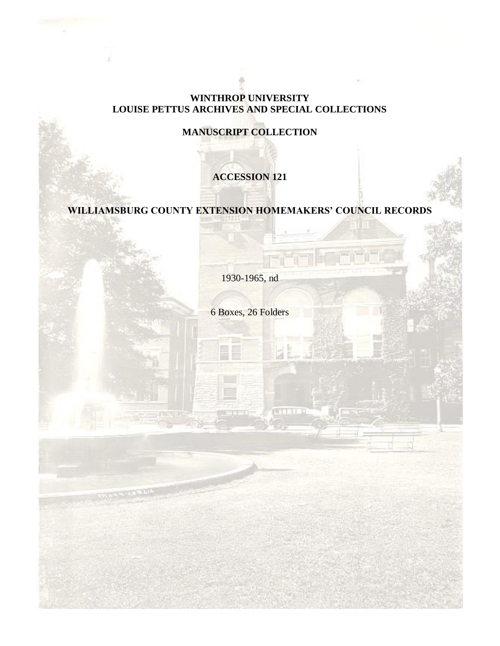#### **WINTHROP UNIVERSITY LOUISE PETTUS ARCHIVES AND SPECIAL COLLECTIONS**

# **MANUSCRIPT COLLECTION**

# **ACCESSION 121**

# **WILLIAMSBURG COUNTY EXTENSION HOMEMAKERS' COUNCIL RECORDS**

1930-1965, nd

6 Boxes, 26 Folders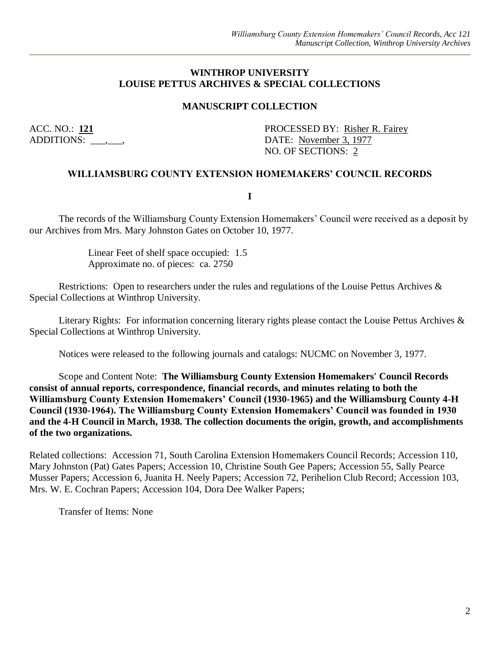#### **WINTHROP UNIVERSITY LOUISE PETTUS ARCHIVES & SPECIAL COLLECTIONS**

#### **MANUSCRIPT COLLECTION**

ACC. NO.: 121 PROCESSED BY: Risher R. Fairey ADDITIONS:  $\qquad \qquad$  DATE: November 3, 1977 NO. OF SECTIONS: 2

#### **WILLIAMSBURG COUNTY EXTENSION HOMEMAKERS' COUNCIL RECORDS**

**I**

The records of the Williamsburg County Extension Homemakers' Council were received as a deposit by our Archives from Mrs. Mary Johnston Gates on October 10, 1977.

> Linear Feet of shelf space occupied: 1.5 Approximate no. of pieces: ca. 2750

Restrictions: Open to researchers under the rules and regulations of the Louise Pettus Archives & Special Collections at Winthrop University.

Literary Rights: For information concerning literary rights please contact the Louise Pettus Archives & Special Collections at Winthrop University.

Notices were released to the following journals and catalogs: NUCMC on November 3, 1977.

Scope and Content Note: **The Williamsburg County Extension Homemakers' Council Records consist of annual reports, correspondence, financial records, and minutes relating to both the Williamsburg County Extension Homemakers' Council (1930-1965) and the Williamsburg County 4-H Council (1930-1964). The Williamsburg County Extension Homemakers' Council was founded in 1930 and the 4-H Council in March, 1938. The collection documents the origin, growth, and accomplishments of the two organizations.**

Related collections: Accession 71, South Carolina Extension Homemakers Council Records; Accession 110, Mary Johnston (Pat) Gates Papers; Accession 10, Christine South Gee Papers; Accession 55, Sally Pearce Musser Papers; Accession 6, Juanita H. Neely Papers; Accession 72, Perihelion Club Record; Accession 103, Mrs. W. E. Cochran Papers; Accession 104, Dora Dee Walker Papers;

Transfer of Items: None